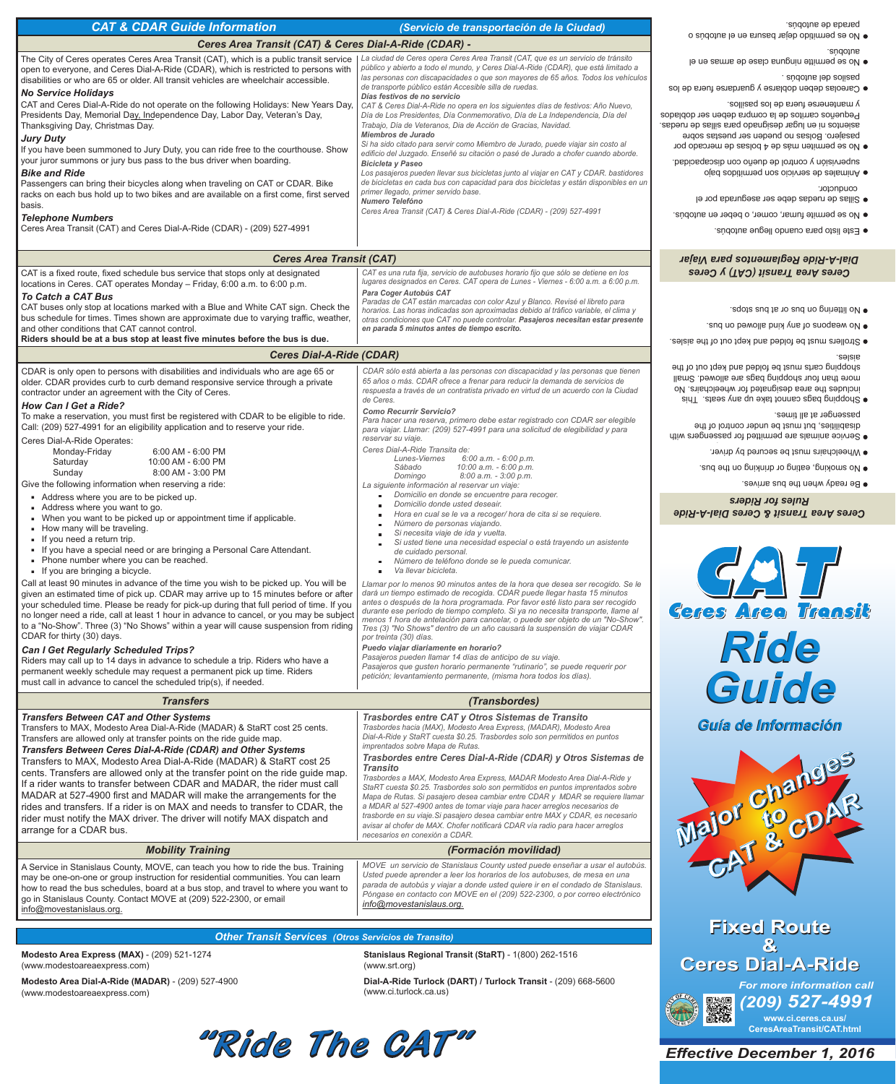*Effective December 1, 2016*



| <b>CAT &amp; CDAR Guide Information</b>                                                                                                                                                                                                                                                                                                                                                                                                                                                                                                                                                                                                                                                                                                                                                                                                                                                                                                                                                                                                                                                                                                                                                                                                                                                                                                                                                                                                                                                                                                                                                                                                                                                                                                                                                     | (Servicio de transportación de la Ciudad)                                                                                                                                                                                                                                                                                                                                                                                                                                                                                                                                                                                                                                                                                                                                                                                                                                                                                                                                                                                                                                                                                                                                                                                                                                                                                                                                                                                                                                                                                                                                                                                                                                                                                                                                                                                                                                        | parada de autobús.                                                                                                                                                                                                                                                                                                                                                                                                                                                                                                                                                                                                                                                |  |  |
|---------------------------------------------------------------------------------------------------------------------------------------------------------------------------------------------------------------------------------------------------------------------------------------------------------------------------------------------------------------------------------------------------------------------------------------------------------------------------------------------------------------------------------------------------------------------------------------------------------------------------------------------------------------------------------------------------------------------------------------------------------------------------------------------------------------------------------------------------------------------------------------------------------------------------------------------------------------------------------------------------------------------------------------------------------------------------------------------------------------------------------------------------------------------------------------------------------------------------------------------------------------------------------------------------------------------------------------------------------------------------------------------------------------------------------------------------------------------------------------------------------------------------------------------------------------------------------------------------------------------------------------------------------------------------------------------------------------------------------------------------------------------------------------------|----------------------------------------------------------------------------------------------------------------------------------------------------------------------------------------------------------------------------------------------------------------------------------------------------------------------------------------------------------------------------------------------------------------------------------------------------------------------------------------------------------------------------------------------------------------------------------------------------------------------------------------------------------------------------------------------------------------------------------------------------------------------------------------------------------------------------------------------------------------------------------------------------------------------------------------------------------------------------------------------------------------------------------------------------------------------------------------------------------------------------------------------------------------------------------------------------------------------------------------------------------------------------------------------------------------------------------------------------------------------------------------------------------------------------------------------------------------------------------------------------------------------------------------------------------------------------------------------------------------------------------------------------------------------------------------------------------------------------------------------------------------------------------------------------------------------------------------------------------------------------------|-------------------------------------------------------------------------------------------------------------------------------------------------------------------------------------------------------------------------------------------------------------------------------------------------------------------------------------------------------------------------------------------------------------------------------------------------------------------------------------------------------------------------------------------------------------------------------------------------------------------------------------------------------------------|--|--|
| Ceres Area Transit (CAT) & Ceres Dial-A-Ride (CDAR) -                                                                                                                                                                                                                                                                                                                                                                                                                                                                                                                                                                                                                                                                                                                                                                                                                                                                                                                                                                                                                                                                                                                                                                                                                                                                                                                                                                                                                                                                                                                                                                                                                                                                                                                                       |                                                                                                                                                                                                                                                                                                                                                                                                                                                                                                                                                                                                                                                                                                                                                                                                                                                                                                                                                                                                                                                                                                                                                                                                                                                                                                                                                                                                                                                                                                                                                                                                                                                                                                                                                                                                                                                                                  | • No es permitido dejar basura en el autobús o                                                                                                                                                                                                                                                                                                                                                                                                                                                                                                                                                                                                                    |  |  |
| The City of Ceres operates Ceres Area Transit (CAT), which is a public transit service<br>open to everyone, and Ceres Dial-A-Ride (CDAR), which is restricted to persons with<br>disabilities or who are 65 or older. All transit vehicles are wheelchair accessible.<br><b>No Service Holidays</b><br>CAT and Ceres Dial-A-Ride do not operate on the following Holidays: New Years Day,<br>Presidents Day, Memorial Day, Independence Day, Labor Day, Veteran's Day,<br>Thanksgiving Day, Christmas Day.<br><b>Jury Duty</b><br>If you have been summoned to Jury Duty, you can ride free to the courthouse. Show<br>your juror summons or jury bus pass to the bus driver when boarding.<br><b>Bike and Ride</b><br>Passengers can bring their bicycles along when traveling on CAT or CDAR. Bike<br>racks on each bus hold up to two bikes and are available on a first come, first served<br>basis.<br><b>Telephone Numbers</b><br>Ceres Area Transit (CAT) and Ceres Dial-A-Ride (CDAR) - (209) 527-4991                                                                                                                                                                                                                                                                                                                                                                                                                                                                                                                                                                                                                                                                                                                                                                              | La ciudad de Ceres opera Ceres Area Transit (CAT, que es un servicio de tránsito<br>público y abierto a todo el mundo, y Ceres Dial-A-Ride (CDAR), que está limitado a<br>las personas con discapacidades o que son mayores de 65 años. Todos los vehículos<br>de transporte público están Accesible silla de ruedas.<br>Días festivos de no servicio<br>CAT & Ceres Dial-A-Ride no opera en los siguientes días de festivos: Año Nuevo,<br>Día de Los Presidentes, Día Conmemorativo, Día de La Independencia, Día del<br>Trabajo, Día de Veteranos, Dia de Acción de Gracias, Navidad.<br>Miembros de Jurado<br>Si ha sido citado para servir como Miembro de Jurado, puede viajar sin costo al<br>edificio del Juzgado. Enseñé su citación o pasé de Jurado a chofer cuando aborde.<br><b>Bicicleta y Paseo</b><br>Los pasajeros pueden llevar sus bicicletas junto al viajar en CAT y CDAR. bastidores<br>de bicicletas en cada bus con capacidad para dos bicicletas y están disponibles en un<br>primer llegado, primer servido base.<br><b>Numero Telefóno</b><br>Ceres Area Transit (CAT) & Ceres Dial-A-Ride (CDAR) - (209) 527-4991                                                                                                                                                                                                                                                                                                                                                                                                                                                                                                                                                                                                                                                                                                                                    | autopūs.<br>· No se permitte ninguna clase de armas en el<br>. sùdotus leb solissq<br>· Careolas deben doblarse y guardarse fuera de los<br>y mantenerse fuera de los pasillos.<br>Pequeños carritos de la compra deben ser doblados<br>asientos ni en lugar designado para sillas de ruedas.<br>pasajero. Bolsas no pueden ser puestas sobre<br>• No se permiten más de 4 bolsas de mercado por<br>supervisión y control de dueño con discapacidad.<br>o Animales de servicio son permitidos bajo<br>conductor.<br>· Sillas de ruedas debe ser asegurada por el<br>. No se permite fumar, comer, o beber en autobús.<br>● Este listo para cuando llegue autobús. |  |  |
|                                                                                                                                                                                                                                                                                                                                                                                                                                                                                                                                                                                                                                                                                                                                                                                                                                                                                                                                                                                                                                                                                                                                                                                                                                                                                                                                                                                                                                                                                                                                                                                                                                                                                                                                                                                             |                                                                                                                                                                                                                                                                                                                                                                                                                                                                                                                                                                                                                                                                                                                                                                                                                                                                                                                                                                                                                                                                                                                                                                                                                                                                                                                                                                                                                                                                                                                                                                                                                                                                                                                                                                                                                                                                                  |                                                                                                                                                                                                                                                                                                                                                                                                                                                                                                                                                                                                                                                                   |  |  |
| <b>Ceres Area Transit (CAT)</b><br>CAT is a fixed route, fixed schedule bus service that stops only at designated                                                                                                                                                                                                                                                                                                                                                                                                                                                                                                                                                                                                                                                                                                                                                                                                                                                                                                                                                                                                                                                                                                                                                                                                                                                                                                                                                                                                                                                                                                                                                                                                                                                                           | CAT es una ruta fija, servicio de autobuses horario fijo que sólo se detiene en los                                                                                                                                                                                                                                                                                                                                                                                                                                                                                                                                                                                                                                                                                                                                                                                                                                                                                                                                                                                                                                                                                                                                                                                                                                                                                                                                                                                                                                                                                                                                                                                                                                                                                                                                                                                              | Dial-A-Ride Reglamentos para Viajar<br>Ceres Area Transit (CAT) y Ceres                                                                                                                                                                                                                                                                                                                                                                                                                                                                                                                                                                                           |  |  |
| locations in Ceres. CAT operates Monday - Friday, 6:00 a.m. to 6:00 p.m.<br><b>To Catch a CAT Bus</b><br>CAT buses only stop at locations marked with a Blue and White CAT sign. Check the<br>bus schedule for times. Times shown are approximate due to varying traffic, weather,<br>and other conditions that CAT cannot control.<br>Riders should be at a bus stop at least five minutes before the bus is due.                                                                                                                                                                                                                                                                                                                                                                                                                                                                                                                                                                                                                                                                                                                                                                                                                                                                                                                                                                                                                                                                                                                                                                                                                                                                                                                                                                          | lugares designados en Ceres. CAT opera de Lunes - Viernes - 6:00 a.m. a 6:00 p.m.<br>Para Coger Autobús CAT<br>Paradas de CAT están marcadas con color Azul y Blanco. Revisé el libreto para<br>horarios. Las horas indicadas son aproximadas debido al tráfico variable, el clima y<br>otras condiciones que CAT no puede controlar. Pasajeros necesitan estar presente<br>en parada 5 minutos antes de tiempo escrito.                                                                                                                                                                                                                                                                                                                                                                                                                                                                                                                                                                                                                                                                                                                                                                                                                                                                                                                                                                                                                                                                                                                                                                                                                                                                                                                                                                                                                                                         | ● No littering on bus or at bus stops.<br>• No weapons of any kind allowed on bus.<br>. Selzis and the folded and kept out of the aisles.                                                                                                                                                                                                                                                                                                                                                                                                                                                                                                                         |  |  |
| <b>Ceres Dial-A-Ride (CDAR)</b>                                                                                                                                                                                                                                                                                                                                                                                                                                                                                                                                                                                                                                                                                                                                                                                                                                                                                                                                                                                                                                                                                                                                                                                                                                                                                                                                                                                                                                                                                                                                                                                                                                                                                                                                                             |                                                                                                                                                                                                                                                                                                                                                                                                                                                                                                                                                                                                                                                                                                                                                                                                                                                                                                                                                                                                                                                                                                                                                                                                                                                                                                                                                                                                                                                                                                                                                                                                                                                                                                                                                                                                                                                                                  | aisles.                                                                                                                                                                                                                                                                                                                                                                                                                                                                                                                                                                                                                                                           |  |  |
| CDAR is only open to persons with disabilities and individuals who are age 65 or<br>older. CDAR provides curb to curb demand responsive service through a private<br>contractor under an agreement with the City of Ceres.<br><b>How Can I Get a Ride?</b><br>To make a reservation, you must first be registered with CDAR to be eligible to ride.<br>Call: (209) 527-4991 for an eligibility application and to reserve your ride.<br>Ceres Dial-A-Ride Operates:<br>Monday-Friday<br>6:00 AM - 6:00 PM<br>10:00 AM - 6:00 PM<br>Saturday<br>8:00 AM - 3:00 PM<br>Sunday<br>Give the following information when reserving a ride:<br>- Address where you are to be picked up.<br>Address where you want to go.<br>• When you want to be picked up or appointment time if applicable.<br>- How many will be traveling.<br>If you need a return trip.<br>• If you have a special need or are bringing a Personal Care Attendant.<br>- Phone number where you can be reached.<br>If you are bringing a bicycle.<br>Call at least 90 minutes in advance of the time you wish to be picked up. You will be<br>given an estimated time of pick up. CDAR may arrive up to 15 minutes before or after<br>your scheduled time. Please be ready for pick-up during that full period of time. If you<br>no longer need a ride, call at least 1 hour in advance to cancel, or you may be subject<br>to a "No-Show". Three (3) "No Shows" within a year will cause suspension from riding<br>CDAR for thirty (30) days.<br><b>Can I Get Regularly Scheduled Trips?</b><br>Riders may call up to 14 days in advance to schedule a trip. Riders who have a<br>permanent weekly schedule may request a permanent pick up time. Riders<br>must call in advance to cancel the scheduled trip(s), if needed. | CDAR sólo está abierta a las personas con discapacidad y las personas que tienen<br>65 años o más. CDAR ofrece a frenar para reducir la demanda de servicios de<br>respuesta a través de un contratista privado en virtud de un acuerdo con la Ciudad<br>de Ceres.<br><b>Como Recurrir Servicio?</b><br>Para hacer una reserva, primero debe estar registrado con CDAR ser elegible<br>para viajar. Llamar: (209) 527-4991 para una solicitud de elegibilidad y para<br>reservar su viaje.<br>Ceres Dial-A-Ride Transita de:<br>6:00 a.m. - 6:00 p.m.<br>Lunes-Viernes<br>10:00 a.m. - 6:00 p.m.<br>Sábado<br>8:00 a.m. - 3:00 p.m.<br>Domingo<br>La siguiente información al reservar un viaje:<br>Domicilio en donde se encuentre para recoger.<br>Domicilio donde usted deseair.<br>Hora en cual se le va a recoger/ hora de cita si se requiere.<br>Número de personas viajando.<br>Si necesita viaje de ida y vuelta.<br>Si usted tiene una necesidad especial o está trayendo un asistente<br>de cuidado personal.<br>Número de teléfono donde se le pueda comunicar.<br>Va llevar bicicleta.<br>Llamar por lo menos 90 minutos antes de la hora que desea ser recogido. Se le<br>dará un tiempo estimado de recogida. CDAR puede llegar hasta 15 minutos<br>antes o después de la hora programada. Por favor esté listo para ser recogido<br>durante ese período de tiempo completo. Si ya no necesita transporte, llame al<br>menos 1 hora de antelación para cancelar, o puede ser objeto de un "No-Show".<br>Tres (3) "No Shows" dentro de un año causará la suspensión de viajar CDAR<br>por treinta (30) días.<br>Puedo viajar diariamente en horario?<br>Pasajeros pueden llamar 14 días de anticipo de su viaje.<br>Pasajeros que gusten horario permanente "rutinario", se puede requerir por<br>petición; levantamiento permanente, (misma hora todos los días). | shopping carts must be folded and kept out of the<br>more than four shopping bags are allowed. Small<br>includes the area designated for wheelchairs. No<br>· Shopping bags cannot take up any seats. This<br>passenger at all times.<br>disabilities, but must be under control of the<br>· Service animals are permitted for passengers with<br>• Wheelchairs must be secured by driver.<br>· Sud smoking, eating or drinking on the bus.<br>. Be ready when the bus arrives.<br><b>Rules for Riders</b><br>Ceres Area Transit & Ceres Dial-A-Ride<br><b>Ceres Area Transit</b><br>Ride<br>Guide                                                                |  |  |
| <b>Transfers</b>                                                                                                                                                                                                                                                                                                                                                                                                                                                                                                                                                                                                                                                                                                                                                                                                                                                                                                                                                                                                                                                                                                                                                                                                                                                                                                                                                                                                                                                                                                                                                                                                                                                                                                                                                                            | (Transbordes)                                                                                                                                                                                                                                                                                                                                                                                                                                                                                                                                                                                                                                                                                                                                                                                                                                                                                                                                                                                                                                                                                                                                                                                                                                                                                                                                                                                                                                                                                                                                                                                                                                                                                                                                                                                                                                                                    |                                                                                                                                                                                                                                                                                                                                                                                                                                                                                                                                                                                                                                                                   |  |  |
| <b>Transfers Between CAT and Other Systems</b><br>Transfers to MAX, Modesto Area Dial-A-Ride (MADAR) & StaRT cost 25 cents.<br>Transfers are allowed only at transfer points on the ride guide map.<br>Transfers Between Ceres Dial-A-Ride (CDAR) and Other Systems<br>Transfers to MAX Modesto Area Dial-A-Ride (MADAR) & StaRT cost 25                                                                                                                                                                                                                                                                                                                                                                                                                                                                                                                                                                                                                                                                                                                                                                                                                                                                                                                                                                                                                                                                                                                                                                                                                                                                                                                                                                                                                                                    | Trasbordes entre CAT y Otros Sistemas de Transito<br>Trasbordes hacia (MAX), Modesto Area Express, (MADAR), Modesto Area<br>Dial-A-Ride y StaRT cuesta \$0.25. Trasbordes solo son permitidos en puntos<br>imprentados sobre Mapa de Rutas.<br>Trasbordes entre Ceres Dial-A-Ride (CDAR) y Otros Sistemas de                                                                                                                                                                                                                                                                                                                                                                                                                                                                                                                                                                                                                                                                                                                                                                                                                                                                                                                                                                                                                                                                                                                                                                                                                                                                                                                                                                                                                                                                                                                                                                     | Guía de Información                                                                                                                                                                                                                                                                                                                                                                                                                                                                                                                                                                                                                                               |  |  |

*MOVE un servicio de Stanislaus County usted puede enseñar a usar el autobús. Usted puede aprender a leer los horarios de los autobuses, de mesa en una parada de autobús y viajar a donde usted quiere ir en el condado de Stanislaus. Póngase en contacto con MOVE en el (209) 522-2300, o por correo electrónico info@movestanislaus.org.*

**Modesto Area Express (MAX)** - (209) 521-1274 (www.modestoareaexpress.com)

**Modesto Area Dial-A-Ride (MADAR)** - (209) 527-4900 (www.modestoareaexpress.com)

Transfers to MAX, Modesto Area Dial-A-Ride (MADAR) & StaRT cost 25 cents. Transfers are allowed only at the transfer point on the ride guide map. If a rider wants to transfer between CDAR and MADAR, the rider must call

MADAR at 527-4900 first and MADAR will make the arrangements for the rides and transfers. If a rider is on MAX and needs to transfer to CDAR, the rider must notify the MAX driver. The driver will notify MAX dispatch and arrange for a CDAR bus.

*Transito Trasbordes a MAX, Modesto Area Express, MADAR Modesto Area Dial-A-Ride y StaRT cuesta \$0.25. Trasbordes solo son permitidos en puntos imprentados sobre* 

*Mapa de Rutas. Si pasajero desea cambiar entre CDAR y MDAR se requiere llamar a MDAR al 527-4900 antes de tomar viaje para hacer arreglos necesarios de trasborde en su viaje.Si pasajero desea cambiar entre MAX y CDAR, es necesario avisar al chofer de MAX. Chofer notificará CDAR vía radio para hacer arreglos* 

*necesarios en conexión a CDAR.* 

#### *(Formación movilidad)*

A Service in Stanislaus County, MOVE, can teach you how to ride the bus. Training may be one-on-one or group instruction for residential communities. You can learn how to read the bus schedules, board at a bus stop, and travel to where you want to go in Stanislaus County. Contact MOVE at (209) 522-2300, or email info@movestanislaus.org.

### *Other Transit Services (Otros Servicios de Transito)*

**Stanislaus Regional Transit (StaRT)** - 1(800) 262-1516 (www.srt.org)

**Dial-A-Ride Turlock (DART) / Turlock Transit** - (209) 668-5600 (www.ci.turlock.ca.us)

## *Mobility Training*

**www.ci.ceres.ca.us/ CeresAreaTransit/CAT.html**

*For more information call*



*(209) 527-4991*

# **Fixed Route Fixed Route & & Ceres Dial-A-Ride Ceres Dial-A-Ride**